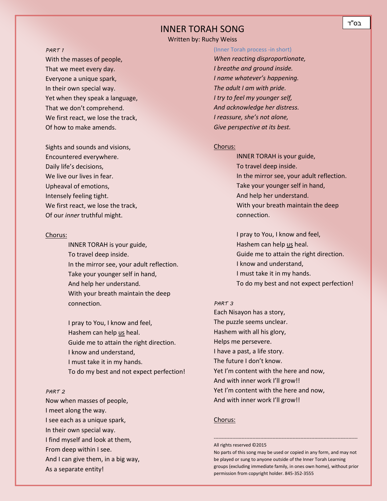## INNER TORAH SONG

Written by: Ruchy Weiss

#### *PART 1*

With the masses of people, That we meet every day. Everyone a unique spark, In their own special way. Yet when they speak a language, That we don't comprehend. We first react, we lose the track, Of how to make amends.

Sights and sounds and visions, Encountered everywhere. Daily life's decisions, We live our lives in fear. Upheaval of emotions, Intensely feeling tight. We first react, we lose the track, Of our *inner* truthful might.

#### *<sup>U</sup>*Chorus:

INNER TORAH is your guide, To travel deep inside. In the mirror see, your adult reflection. Take your younger self in hand, And help her understand. With your breath maintain the deep connection.

I pray to You, I know and feel, Hashem can help us heal. Guide me to attain the right direction. I know and understand, I must take it in my hands. To do my best and not expect perfection!

#### *PART 2*

Now when masses of people, I meet along the way. I see each as a unique spark, In their own special way. I find myself and look at them, From deep within I see. And I can give them, in a big way, As a separate entity!

(Inner Torah process -in short) *When reacting disproportionate, I breathe and ground inside. I name whatever's happening. The adult I am with pride. I try to feel my younger self, And acknowledge her distress. I reassure, she's not alone, Give perspective at its best.*

#### *<sup>U</sup>*Chorus:

INNER TORAH is your guide, To travel deep inside. In the mirror see, your adult reflection. Take your younger self in hand, And help her understand. With your breath maintain the deep connection.

I pray to You, I know and feel, Hashem can help us heal. Guide me to attain the right direction. I know and understand, I must take it in my hands. To do my best and not expect perfection!

### *PART 3*

Each Nisayon has a story, The puzzle seems unclear. Hashem with all his glory, Helps me persevere. I have a past, a life story. The future I don't know. Yet I'm content with the here and now, And with inner work I'll grow!! Yet I'm content with the here and now, And with inner work I'll grow!!

### *<sup>U</sup>*Chorus:

#### All rights reserved ©2015

No parts of this song may be used or copied in any form, and may not be played or sung to anyone outside of the Inner Torah Learning groups (excluding immediate family, in ones own home), without prior permission from copyright holder. 845-352-3555

---------------------------------------------------------------------------------------------